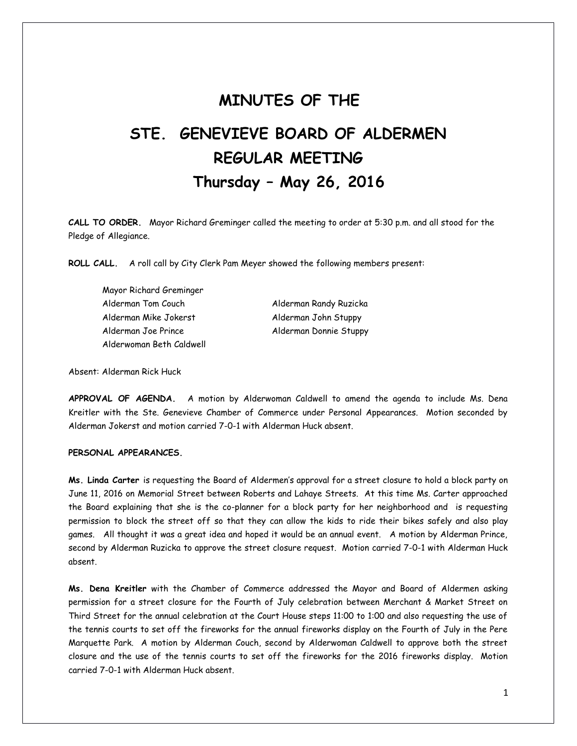# **MINUTES OF THE**

# **STE. GENEVIEVE BOARD OF ALDERMEN REGULAR MEETING Thursday – May 26, 2016**

**CALL TO ORDER.** Mayor Richard Greminger called the meeting to order at 5:30 p.m. and all stood for the Pledge of Allegiance.

**ROLL CALL.** A roll call by City Clerk Pam Meyer showed the following members present:

Mayor Richard Greminger Alderman Tom Couch Alderman Randy Ruzicka Alderman Mike Jokerst Alderman John Stuppy Alderman Joe Prince **Alderman Donnie Stuppy** Alderwoman Beth Caldwell

Absent: Alderman Rick Huck

**APPROVAL OF AGENDA.** A motion by Alderwoman Caldwell to amend the agenda to include Ms. Dena Kreitler with the Ste. Genevieve Chamber of Commerce under Personal Appearances. Motion seconded by Alderman Jokerst and motion carried 7-0-1 with Alderman Huck absent.

# **PERSONAL APPEARANCES.**

**Ms. Linda Carter** is requesting the Board of Aldermen's approval for a street closure to hold a block party on June 11, 2016 on Memorial Street between Roberts and Lahaye Streets. At this time Ms. Carter approached the Board explaining that she is the co-planner for a block party for her neighborhood and is requesting permission to block the street off so that they can allow the kids to ride their bikes safely and also play games. All thought it was a great idea and hoped it would be an annual event. A motion by Alderman Prince, second by Alderman Ruzicka to approve the street closure request. Motion carried 7-0-1 with Alderman Huck absent.

**Ms. Dena Kreitler** with the Chamber of Commerce addressed the Mayor and Board of Aldermen asking permission for a street closure for the Fourth of July celebration between Merchant & Market Street on Third Street for the annual celebration at the Court House steps 11:00 to 1:00 and also requesting the use of the tennis courts to set off the fireworks for the annual fireworks display on the Fourth of July in the Pere Marquette Park. A motion by Alderman Couch, second by Alderwoman Caldwell to approve both the street closure and the use of the tennis courts to set off the fireworks for the 2016 fireworks display. Motion carried 7-0-1 with Alderman Huck absent.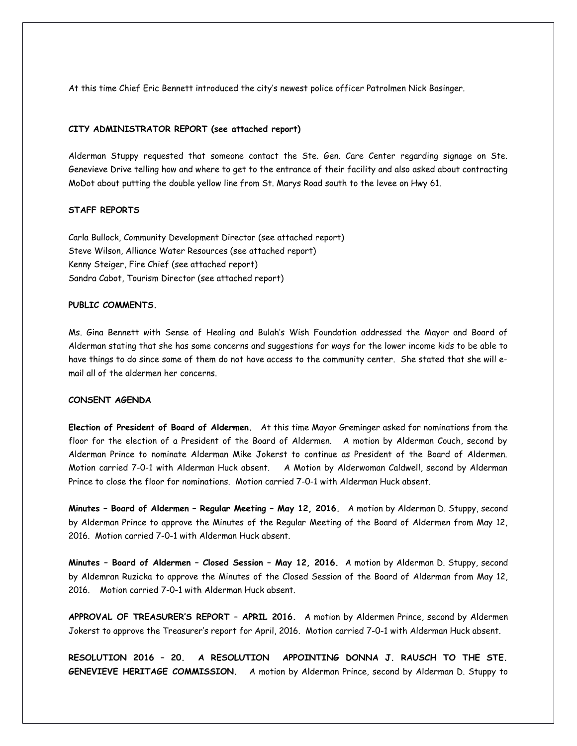At this time Chief Eric Bennett introduced the city's newest police officer Patrolmen Nick Basinger.

#### **CITY ADMINISTRATOR REPORT (see attached report)**

Alderman Stuppy requested that someone contact the Ste. Gen. Care Center regarding signage on Ste. Genevieve Drive telling how and where to get to the entrance of their facility and also asked about contracting MoDot about putting the double yellow line from St. Marys Road south to the levee on Hwy 61.

# **STAFF REPORTS**

Carla Bullock, Community Development Director (see attached report) Steve Wilson, Alliance Water Resources (see attached report) Kenny Steiger, Fire Chief (see attached report) Sandra Cabot, Tourism Director (see attached report)

### **PUBLIC COMMENTS.**

Ms. Gina Bennett with Sense of Healing and Bulah's Wish Foundation addressed the Mayor and Board of Alderman stating that she has some concerns and suggestions for ways for the lower income kids to be able to have things to do since some of them do not have access to the community center. She stated that she will email all of the aldermen her concerns.

#### **CONSENT AGENDA**

**Election of President of Board of Aldermen.** At this time Mayor Greminger asked for nominations from the floor for the election of a President of the Board of Aldermen. A motion by Alderman Couch, second by Alderman Prince to nominate Alderman Mike Jokerst to continue as President of the Board of Aldermen. Motion carried 7-0-1 with Alderman Huck absent. A Motion by Alderwoman Caldwell, second by Alderman Prince to close the floor for nominations. Motion carried 7-0-1 with Alderman Huck absent.

**Minutes – Board of Aldermen – Regular Meeting – May 12, 2016.** A motion by Alderman D. Stuppy, second by Alderman Prince to approve the Minutes of the Regular Meeting of the Board of Aldermen from May 12, 2016. Motion carried 7-0-1 with Alderman Huck absent.

**Minutes – Board of Aldermen – Closed Session – May 12, 2016.** A motion by Alderman D. Stuppy, second by Aldemran Ruzicka to approve the Minutes of the Closed Session of the Board of Alderman from May 12, 2016. Motion carried 7-0-1 with Alderman Huck absent.

**APPROVAL OF TREASURER'S REPORT – APRIL 2016.** A motion by Aldermen Prince, second by Aldermen Jokerst to approve the Treasurer's report for April, 2016. Motion carried 7-0-1 with Alderman Huck absent.

**RESOLUTION 2016 – 20. A RESOLUTION APPOINTING DONNA J. RAUSCH TO THE STE. GENEVIEVE HERITAGE COMMISSION.** A motion by Alderman Prince, second by Alderman D. Stuppy to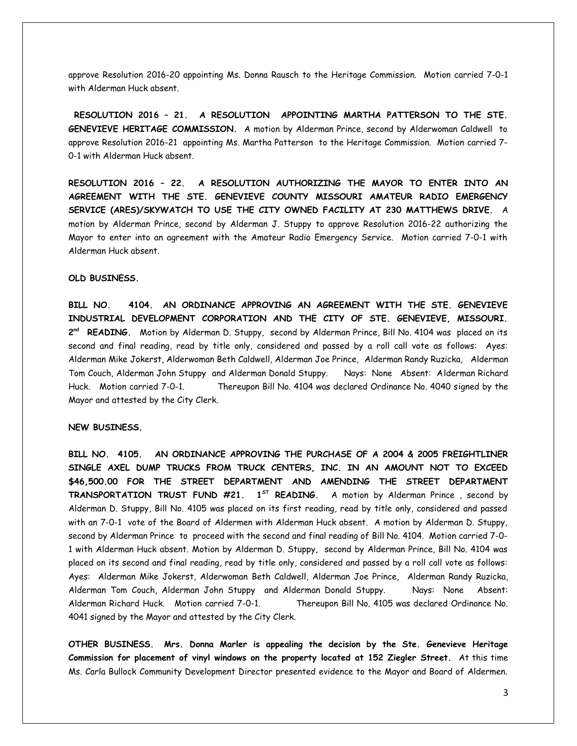approve Resolution 2016-20 appointing Ms. Donna Rausch to the Heritage Commission. Motion carried 7-0-1 with Alderman Huck absent.

**RESOLUTION 2016 – 21. A RESOLUTION APPOINTING MARTHA PATTERSON TO THE STE. GENEVIEVE HERITAGE COMMISSION.** A motion by Alderman Prince, second by Alderwoman Caldwell to approve Resolution 2016-21 appointing Ms. Martha Patterson to the Heritage Commission. Motion carried 7- 0-1 with Alderman Huck absent.

**RESOLUTION 2016 – 22. A RESOLUTION AUTHORIZING THE MAYOR TO ENTER INTO AN AGREEMENT WITH THE STE. GENEVIEVE COUNTY MISSOURI AMATEUR RADIO EMERGENCY SERVICE (ARES)/SKYWATCH TO USE THE CITY OWNED FACILITY AT 230 MATTHEWS DRIVE.** A motion by Alderman Prince, second by Alderman J. Stuppy to approve Resolution 2016-22 authorizing the Mayor to enter into an agreement with the Amateur Radio Emergency Service. Motion carried 7-0-1 with Alderman Huck absent.

#### **OLD BUSINESS.**

**BILL NO. 4104. AN ORDINANCE APPROVING AN AGREEMENT WITH THE STE. GENEVIEVE INDUSTRIAL DEVELOPMENT CORPORATION AND THE CITY OF STE. GENEVIEVE, MISSOURI. 2 nd READING.** Motion by Alderman D. Stuppy, second by Alderman Prince, Bill No. 4104 was placed on its second and final reading, read by title only, considered and passed by a roll call vote as follows: Ayes: Alderman Mike Jokerst, Alderwoman Beth Caldwell, Alderman Joe Prince, Alderman Randy Ruzicka, Alderman Tom Couch, Alderman John Stuppy and Alderman Donald Stuppy. Nays: None Absent: Alderman Richard Huck. Motion carried 7-0-1. Thereupon Bill No. 4104 was declared Ordinance No. 4040 signed by the Mayor and attested by the City Clerk.

#### **NEW BUSINESS.**

**BILL NO. 4105. AN ORDINANCE APPROVING THE PURCHASE OF A 2004 & 2005 FREIGHTLINER SINGLE AXEL DUMP TRUCKS FROM TRUCK CENTERS, INC. IN AN AMOUNT NOT TO EXCEED \$46,500.00 FOR THE STREET DEPARTMENT AND AMENDING THE STREET DEPARTMENT TRANSPORTATION TRUST FUND #21. 1ST READING.** A motion by Alderman Prince , second by Alderman D. Stuppy, Bill No. 4105 was placed on its first reading, read by title only, considered and passed with an 7-0-1 vote of the Board of Aldermen with Alderman Huck absent. A motion by Alderman D. Stuppy, second by Alderman Prince to proceed with the second and final reading of Bill No. 4104. Motion carried 7-0- 1 with Alderman Huck absent. Motion by Alderman D. Stuppy, second by Alderman Prince, Bill No. 4104 was placed on its second and final reading, read by title only, considered and passed by a roll call vote as follows: Ayes: Alderman Mike Jokerst, Alderwoman Beth Caldwell, Alderman Joe Prince, Alderman Randy Ruzicka, Alderman Tom Couch, Alderman John Stuppy and Alderman Donald Stuppy. Nays: None Absent: Alderman Richard Huck. Motion carried 7-0-1. Thereupon Bill No. 4105 was declared Ordinance No. 4041 signed by the Mayor and attested by the City Clerk.

**OTHER BUSINESS. Mrs. Donna Marler is appealing the decision by the Ste. Genevieve Heritage Commission for placement of vinyl windows on the property located at 152 Ziegler Street.** At this time Ms. Carla Bullock Community Development Director presented evidence to the Mayor and Board of Aldermen.